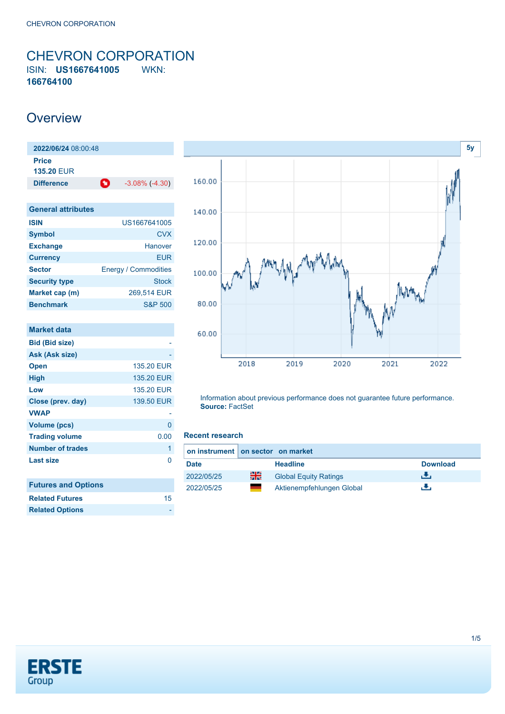<span id="page-0-0"></span>CHEVRON CORPORATION ISIN: **US1667641005** WKN: **166764100**

## **Overview**

**2022/06/24** 08:00:48 **Price 135.20** EUR **Difference** -3.08% (-4.30)

| <b>General attributes</b> |                             |
|---------------------------|-----------------------------|
| <b>ISIN</b>               | US1667641005                |
| <b>Symbol</b>             | CVX                         |
| <b>Exchange</b>           | Hanover                     |
| <b>Currency</b>           | FUR                         |
| <b>Sector</b>             | <b>Energy / Commodities</b> |
| <b>Security type</b>      | Stock                       |
| Market cap (m)            | 269,514 EUR                 |
| <b>Benchmark</b>          | <b>S&amp;P 500</b>          |

| 135.20 EUR |
|------------|
| 135.20 EUR |
| 135.20 EUR |
| 139.50 EUR |
|            |
| O          |
| 0.00       |
| 1          |
| N          |
|            |
| 15         |
|            |
|            |



Information about previous performance does not guarantee future performance. **Source:** FactSet

#### **Recent research**

|             | on instrument on sector on market |                              |                 |  |
|-------------|-----------------------------------|------------------------------|-----------------|--|
| <b>Date</b> |                                   | <b>Headline</b>              | <b>Download</b> |  |
| 2022/05/25  | 픪춙                                | <b>Global Equity Ratings</b> | æ.              |  |
| 2022/05/25  |                                   | Aktienempfehlungen Global    |                 |  |

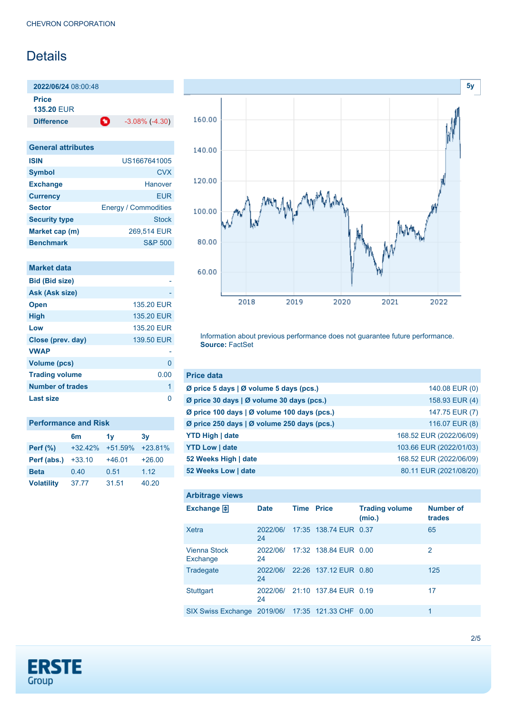# Details

**2022/06/24** 08:00:48

**Price**

**135.20** EUR

**Difference** -3.08% (-4.30)

| <b>General attributes</b> |                             |
|---------------------------|-----------------------------|
| <b>ISIN</b>               | US1667641005                |
| <b>Symbol</b>             | <b>CVX</b>                  |
| <b>Exchange</b>           | Hanover                     |
| <b>Currency</b>           | <b>EUR</b>                  |
| <b>Sector</b>             | <b>Energy / Commodities</b> |
| <b>Security type</b>      | Stock                       |
| Market cap (m)            | 269,514 EUR                 |
| <b>Benchmark</b>          | <b>S&amp;P 500</b>          |

| Market data           |            |
|-----------------------|------------|
| <b>Bid (Bid size)</b> |            |
| Ask (Ask size)        |            |
| <b>Open</b>           | 135.20 EUR |
| <b>High</b>           | 135.20 EUR |
| Low                   | 135.20 EUR |
| Close (prev. day)     | 139.50 EUR |
| <b>VWAP</b>           |            |
| <b>Volume (pcs)</b>   | 0          |
| <b>Trading volume</b> | 0.00       |
| Number of trades      | 1          |
| Last size             |            |

| <b>Performance and Risk</b> |                |           |           |  |
|-----------------------------|----------------|-----------|-----------|--|
|                             | 6 <sub>m</sub> | 1v        | 3v        |  |
| <b>Perf</b> (%)             | $+32.42%$      | $+51.59%$ | $+23.81%$ |  |
| Perf (abs.)                 | $+33.10$       | $+46.01$  | $+26.00$  |  |
| <b>Beta</b>                 | 0.40           | 0.51      | 1.12      |  |
| <b>Volatility</b>           | 37.77          | 31.51     | 40.20     |  |



Information about previous performance does not guarantee future performance. **Source:** FactSet

| <b>Price data</b>                           |                         |
|---------------------------------------------|-------------------------|
| Ø price 5 days   Ø volume 5 days (pcs.)     | 140.08 EUR (0)          |
| Ø price 30 days   Ø volume 30 days (pcs.)   | 158.93 EUR (4)          |
| Ø price 100 days   Ø volume 100 days (pcs.) | 147.75 EUR (7)          |
| Ø price 250 days   Ø volume 250 days (pcs.) | 116.07 EUR (8)          |
| <b>YTD High   date</b>                      | 168.52 EUR (2022/06/09) |
| <b>YTD Low   date</b>                       | 103.66 EUR (2022/01/03) |
| 52 Weeks High   date                        | 168.52 EUR (2022/06/09) |
| 52 Weeks Low   date                         | 80.11 EUR (2021/08/20)  |

| <b>Arbitrage views</b>                            |                |                   |                       |                                 |                            |
|---------------------------------------------------|----------------|-------------------|-----------------------|---------------------------------|----------------------------|
| Exchange $\neq$                                   | <b>Date</b>    | <b>Time Price</b> |                       | <b>Trading volume</b><br>(mio.) | <b>Number of</b><br>trades |
| Xetra                                             | 2022/06/<br>24 |                   | 17:35 138.74 EUR 0.37 |                                 | 65                         |
| Vienna Stock<br>Exchange                          | 2022/06/<br>24 |                   | 17:32 138.84 EUR 0.00 |                                 | 2                          |
| Tradegate                                         | 2022/06/<br>24 |                   | 22:26 137.12 EUR 0.80 |                                 | 125                        |
| <b>Stuttgart</b>                                  | 2022/06/<br>24 |                   | 21:10 137.84 EUR 0.19 |                                 | 17                         |
| SIX Swiss Exchange 2019/06/ 17:35 121.33 CHF 0.00 |                |                   |                       |                                 | 1                          |

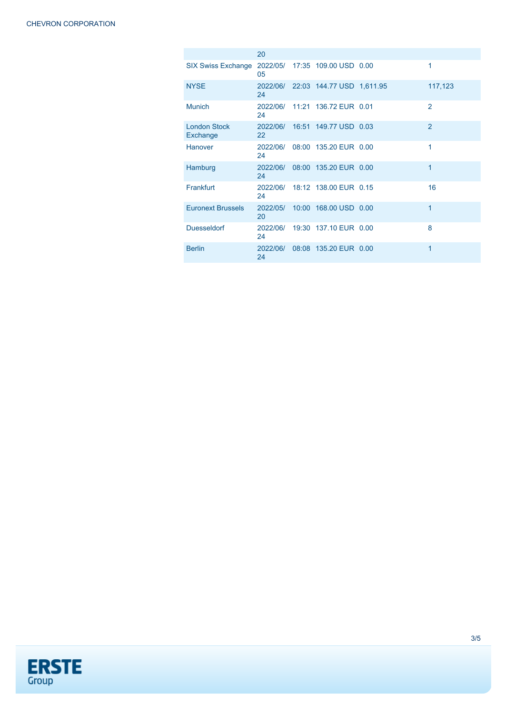|                                 | 20             |                                    |                |
|---------------------------------|----------------|------------------------------------|----------------|
| <b>SIX Swiss Exchange</b>       | 05             | 2022/05/ 17:35 109.00 USD 0.00     | 1              |
| <b>NYSE</b>                     | 24             | 2022/06/ 22:03 144.77 USD 1,611.95 | 117,123        |
| <b>Munich</b>                   | 24             | 2022/06/ 11:21 136.72 EUR 0.01     | $\mathcal{P}$  |
| <b>London Stock</b><br>Exchange | 22             | 2022/06/ 16:51 149.77 USD 0.03     | $\overline{2}$ |
| Hanover                         | 2022/06/<br>24 | 08:00 135.20 EUR 0.00              | 1              |
| Hamburg                         | 2022/06/<br>24 | 08:00 135.20 EUR 0.00              | 1              |
| Frankfurt                       | 24             | 2022/06/ 18:12 138.00 EUR 0.15     | 16             |
| <b>Euronext Brussels</b>        | 20             | 2022/05/ 10:00 168.00 USD 0.00     | 1              |
| <b>Duesseldorf</b>              | 24             | 2022/06/ 19:30 137.10 EUR 0.00     | 8              |
| <b>Berlin</b>                   | 2022/06/<br>24 | 08:08 135.20 EUR 0.00              | 1              |

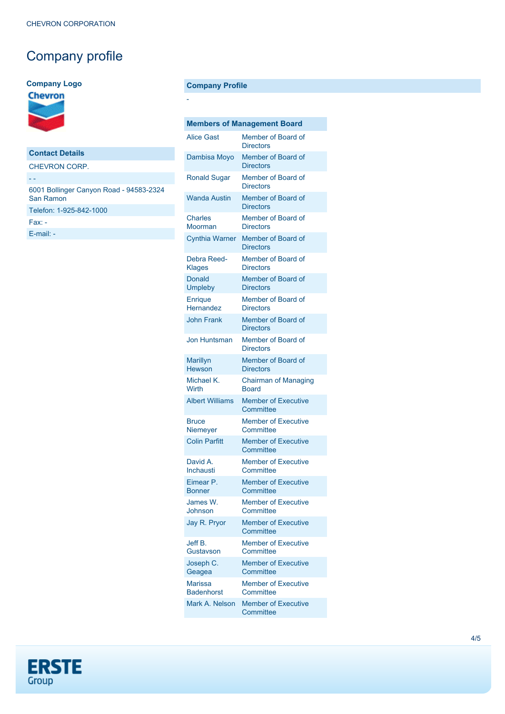# Company profile

### **Company Logo**

#### **Chevron**

| <b>Contact Details</b>                               |
|------------------------------------------------------|
| CHEVRON CORP                                         |
|                                                      |
| 6001 Bollinger Canyon Road - 94583-2324<br>San Ramon |
| Telefon: 1-925-842-1000                              |
| $Fax -$                                              |
| $F$ -mail: -                                         |
|                                                      |

### **Company Profile**

-

|                        | <b>Members of Management Board</b>      |
|------------------------|-----------------------------------------|
| <b>Alice Gast</b>      | Member of Board of<br><b>Directors</b>  |
| Dambisa Moyo           | Member of Board of<br><b>Directors</b>  |
| <b>Ronald Sugar</b>    | Member of Board of<br><b>Directors</b>  |
| <b>Wanda Austin</b>    | Member of Board of<br><b>Directors</b>  |
| <b>Charles</b>         | Member of Board of                      |
| Moorman                | <b>Directors</b>                        |
| <b>Cynthia Warner</b>  | Member of Board of<br><b>Directors</b>  |
| Debra Reed-            | Member of Board of                      |
| <b>Klages</b>          | <b>Directors</b>                        |
| Donald                 | Member of Board of                      |
| <b>Umpleby</b>         | <b>Directors</b>                        |
| Enrique                | Member of Board of                      |
| <b>Hernandez</b>       | <b>Directors</b>                        |
| <b>John Frank</b>      | Member of Board of<br><b>Directors</b>  |
| <b>Jon Huntsman</b>    | Member of Board of<br><b>Directors</b>  |
| Marillyn               | Member of Board of                      |
| <b>Hewson</b>          | <b>Directors</b>                        |
| Michael K.             | <b>Chairman of Managing</b>             |
| Wirth                  | <b>Board</b>                            |
| <b>Albert Williams</b> | <b>Member of Executive</b><br>Committee |
| <b>Bruce</b>           | <b>Member of Executive</b>              |
| Niemeyer               | Committee                               |
| <b>Colin Parfitt</b>   | <b>Member of Executive</b><br>Committee |
| David A.               | <b>Member of Executive</b>              |
| Inchausti              | Committee                               |
| Eimear P.              | <b>Member of Executive</b>              |
| <b>Bonner</b>          | Committee                               |
| James W.               | <b>Member of Executive</b>              |
| Johnson                | Committee                               |
| Jay R. Pryor           | <b>Member of Executive</b><br>Committee |
| Jeff B.                | <b>Member of Executive</b>              |
| Gustavson              | Committee                               |
| Joseph C.              | <b>Member of Executive</b>              |
| Geagea                 | Committee                               |
| <b>Marissa</b>         | <b>Member of Executive</b>              |
| <b>Badenhorst</b>      | Committee                               |
| Mark A. Nelson         | <b>Member of Executive</b><br>Committee |